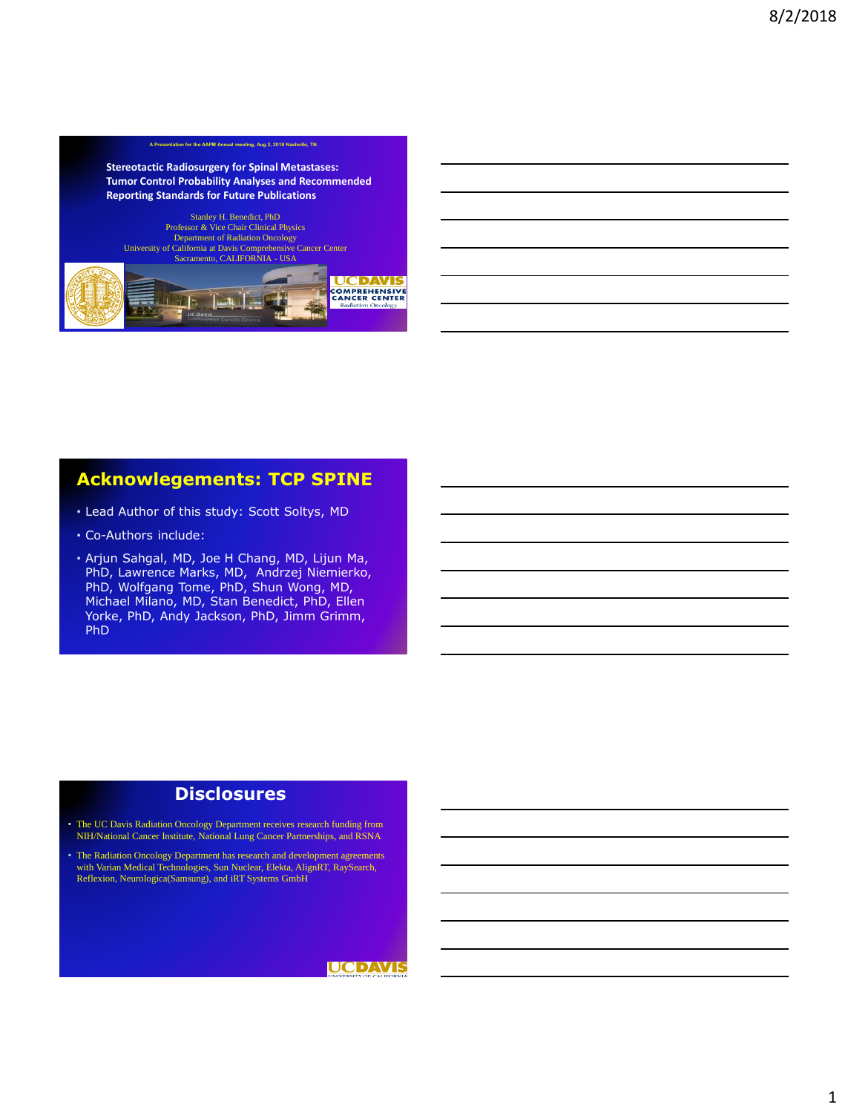#### **Stereotactic Radiosurgery for Spinal Metastases: Tumor Control Probability Analyses and Recommended Reporting Standards for Future Publications**

**A Presentation for the AAPM Annual meeting, Aug 2, 2018 Nashville, TN**

Stanley H. Benedict, PhD Professor & Vice Chair Clinical Physics Department of Radiation Oncology University of California at Davis Comprehensive Cancer Center Sacramento, CALIFORNIA - USA

#### **UCDAVIS COMPREHENSIVE**<br>CANCER CENTER  $\mathbf{1}$   $\mathbf{3}$   $\mathbf{5}$ Radia tion Oncology

# **Acknowlegements: TCP SPINE**

- Lead Author of this study: Scott Soltys, MD
- Co-Authors include:
- Arjun Sahgal, MD, Joe H Chang, MD, Lijun Ma, PhD, Lawrence Marks, MD, Andrzej Niemierko, PhD, Wolfgang Tome, PhD, Shun Wong, MD, Michael Milano, MD, Stan Benedict, PhD, Ellen Yorke, PhD, Andy Jackson, PhD, Jimm Grimm, PhD

### **Disclosures**

• The UC Davis Radiation Oncology Department receives research funding from NIH/National Cancer Institute, National Lung Cancer Partnerships, and RSNA

• The Radiation Oncology Department has research and development agreements with Varian Medical Technologies, Sun Nuclear, Elekta, AlignRT, RaySearch, Reflexion, Neurologica(Samsung), and iRT Systems GmbH

### **UCDAVIS**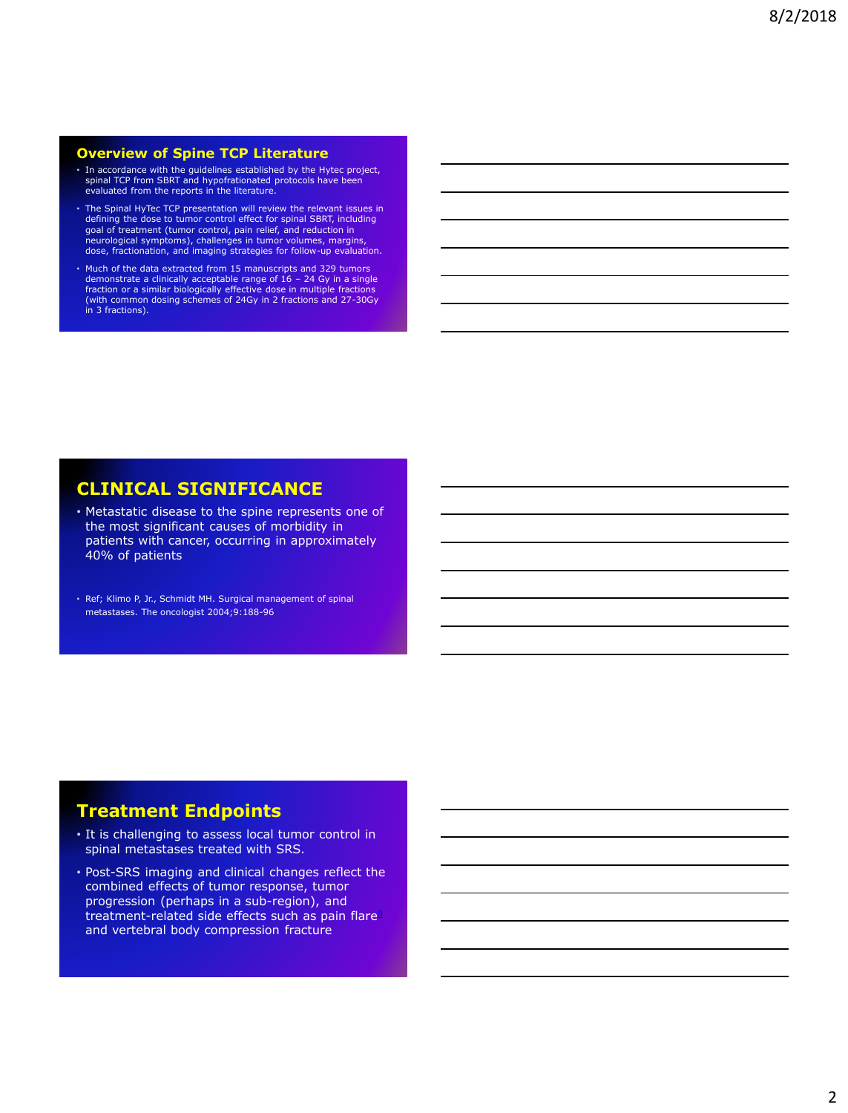#### **Overview of Spine TCP Literature**

- In accordance with the guidelines established by the Hytec project, spinal TCP from SBRT and hypofrationated protocols have been evaluated from the reports in the literature.
- The Spinal HyTec TCP presentation will review the relevant issues in defining the dose to tumor control effect for spinal SBRT, including<br>goal of treatment (tumor control, pain relief, and reduction in<br>neurological symptoms), challenges in tumor volumes, margins,<br>dose, fractionation, and im
- Much of the data extracted from 15 manuscripts and 329 tumors demonstrate a clinically acceptable range of 16 – 24 Gy in a single fraction or a similar biologically effective dose in multiple fractions (with common dosing schemes of 24Gy in 2 fractions and 27-30Gy in 3 fractions).

# **CLINICAL SIGNIFICANCE**

- Metastatic disease to the spine represents one of the most significant causes of morbidity in patients with cancer, occurring in approximately 40% of patients
- Ref; Klimo P, Jr., Schmidt MH. Surgical management of spinal metastases. The oncologist 2004;9:188-96.

## **Treatment Endpoints**

- It is challenging to assess local tumor control in spinal metastases treated with SRS.
- Post-SRS imaging and clinical changes reflect the combined effects of tumor response, tumor progression (perhaps in a sub-region), and treatment-related side effects such as pain flare<sup>8</sup> and vertebral body compression fracture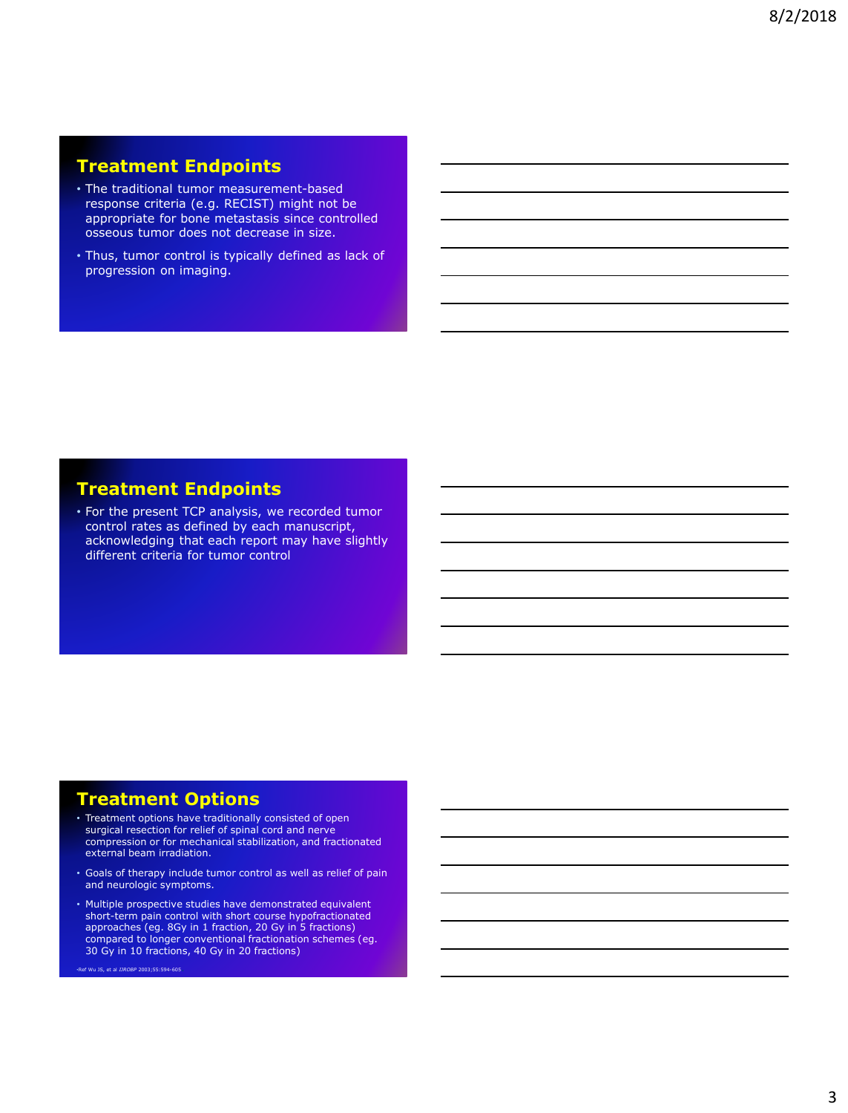# **Treatment Endpoints**

- The traditional tumor measurement-based response criteria (e.g. RECIST) might not be appropriate for bone metastasis since controlled osseous tumor does not decrease in size.
- Thus, tumor control is typically defined as lack of progression on imaging.

## **Treatment Endpoints**

• For the present TCP analysis, we recorded tumor control rates as defined by each manuscript, acknowledging that each report may have slightly different criteria for tumor control

## **Treatment Options**

- Treatment options have traditionally consisted of open surgical resection for relief of spinal cord and nerve compression or for mechanical stabilization, and fractionated external beam irradiation.
- Goals of therapy include tumor control as well as relief of pain and neurologic symptoms.
- Multiple prospective studies have demonstrated equivalent short-term pain control with short course hypofractionated approaches (eg. 8Gy in 1 fraction, 20 Gy in 5 fractions) compared to longer conventional fractionation schemes (eg. 30 Gy in 10 fractions, 40 Gy in 20 fractions)

•Ref Wu JS, et al *IJROBP* 2003;55:594-605.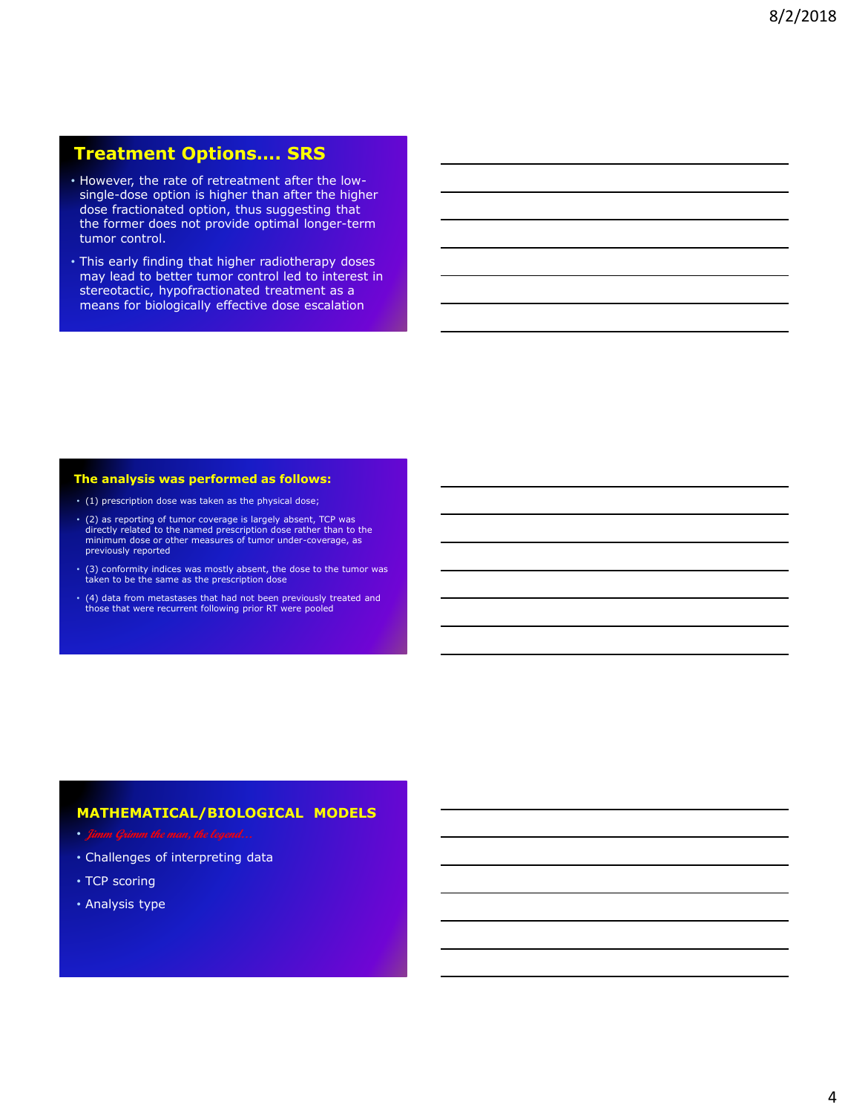### **Treatment Options…. SRS**

- However, the rate of retreatment after the lowsingle-dose option is higher than after the higher dose fractionated option, thus suggesting that the former does not provide optimal longer-term tumor control.
- This early finding that higher radiotherapy doses may lead to better tumor control led to interest in stereotactic, hypofractionated treatment as a means for biologically effective dose escalation

#### **The analysis was performed as follows:**

- (1) prescription dose was taken as the physical dose;
- (2) as reporting of tumor coverage is largely absent, TCP was directly related to the named prescription dose rather than to the minimum dose or other measures of tumor under-coverage, as previously reported
- (3) conformity indices was mostly absent, the dose to the tumor was taken to be the same as the prescription dose
- (4) data from metastases that had not been previously treated and those that were recurrent following prior RT were pooled

#### **MATHEMATICAL/BIOLOGICAL MODELS**

- 
- Challenges of interpreting data
- TCP scoring
- Analysis type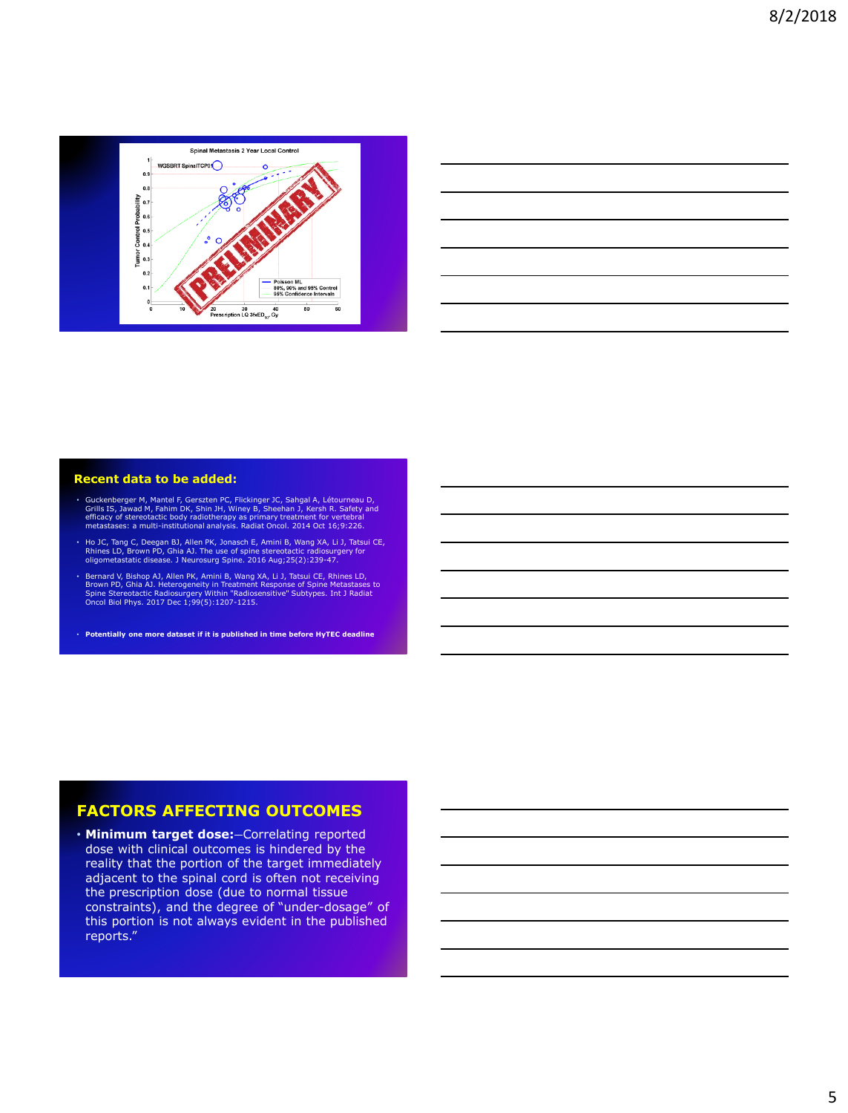

| <u> 1989 - Johann Stoff, amerikan bestemanns foar it ferskearre fan de ferskearre fan de ferskearre fan de ferske</u> |  |  |
|-----------------------------------------------------------------------------------------------------------------------|--|--|
|                                                                                                                       |  |  |
| <u> 1989 - Johann Stoff, amerikansk politiker (d. 1989)</u>                                                           |  |  |
|                                                                                                                       |  |  |
| <u> 1989 - Andrea Stadt Britain, amerikansk politik (* 1958)</u>                                                      |  |  |
|                                                                                                                       |  |  |

#### **Recent data to be added:**

- Guckenberger M, Mantel F, Gerszten PC, Flickinger JC, Sahgal A, Létourneau D, Grills IS, Jawad M, Fahim DK, Shin JH, Winey B, Sheehan J, Kersh R. Safety and efficacy of stereotactic body radiotherapy as primary treatments
- Ho JC, Tang C, Deegan BJ, Allen PK, Jonasch E, Amini B, Wang XA, Li J, Tatsui CE,<br>Rhines LD, Brown PD, Ghia AJ. The use of spine stereotactic radiosurgery for<br>oligometastatic disease. J Neurosurg Spine. 2016 Aug;25(2):23
- Bernard V, Bishop AJ, Allen PK, Amini B, Wang XA, Li J, Tatsui CE, Rhines LD,<br>Brown PD, Ghia AJ. Heterogeneity in Treatment Response of Spine Metastases to<br>Spine Stereotactic Radiosurgery Within "Radiosensitive" Subtypes
- **Potentially one more dataset if it is published in time before HyTEC deadline**

### **FACTORS AFFECTING OUTCOMES**

• Minimum target dose:-Correlating reported dose with clinical outcomes is hindered by the reality that the portion of the target immediately adjacent to the spinal cord is often not receiving the prescription dose (due to normal tissue constraints), and the degree of "under-dosage" of this portion is not always evident in the published reports."